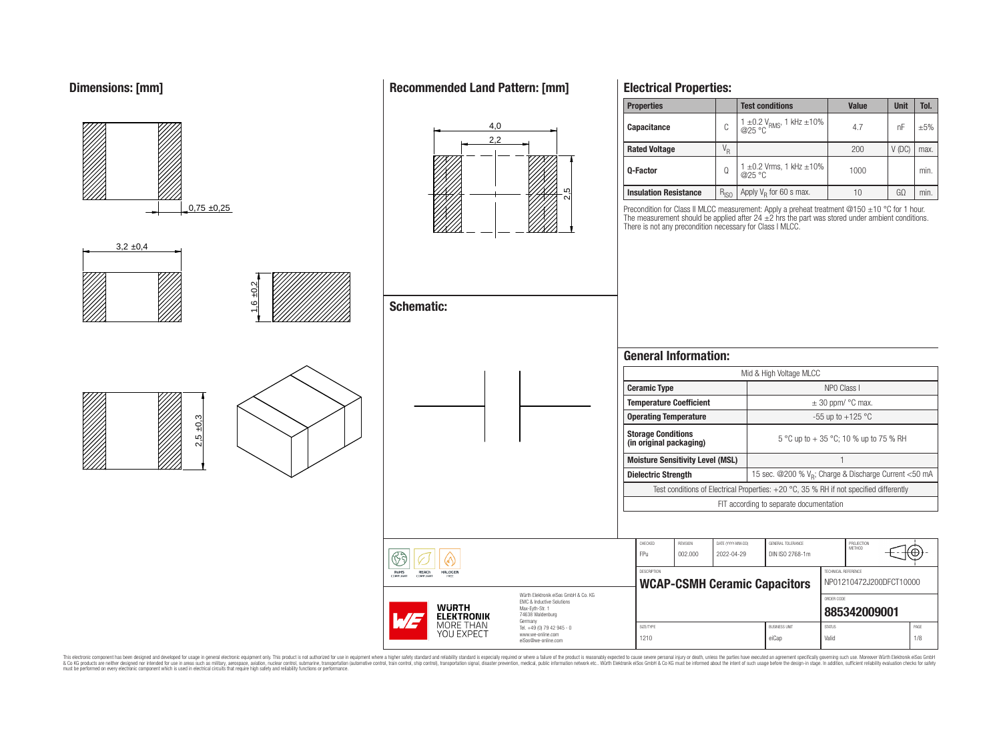# **Dimensions: [mm]**



This electronic component has been designed and developed for usage in general electronic equipment only. This product is not authorized for use in equipment where a higher safely standard and reliability standard si espec & Ook product a label and the membed of the seasuch as marked and as which such a membed and the such assume that income in the seasuch and the simulation and the such assume that include to the such a membed and the such

# **Recommended Land Pattern: [mm]**

**Electrical Properties:**

'⊕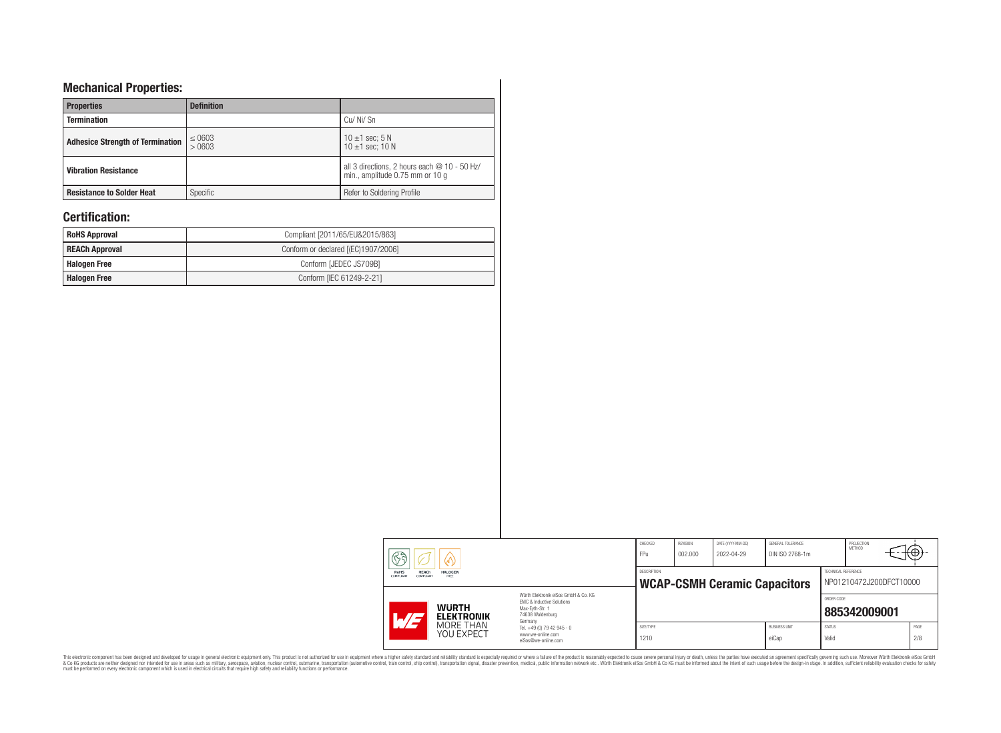# **Mechanical Properties:**

| <b>Properties</b>                       | <b>Definition</b>    |                                                                                 |
|-----------------------------------------|----------------------|---------------------------------------------------------------------------------|
| <b>Termination</b>                      |                      | Cu/Ni/Sn                                                                        |
| <b>Adhesice Strength of Termination</b> | $\leq 0603$<br>>0603 | 10 $\pm$ 1 sec; 5 N<br>10 $\pm$ 1 sec: 10 N                                     |
| <b>Vibration Resistance</b>             |                      | all 3 directions, 2 hours each @ 10 - 50 Hz/<br>min., amplitude 0.75 mm or 10 g |
| <b>Resistance to Solder Heat</b>        | Specific             | Refer to Soldering Profile                                                      |

# **Certification:**

| <b>RoHS Approval</b>  | Compliant [2011/65/EU&2015/863]     |
|-----------------------|-------------------------------------|
| <b>REACh Approval</b> | Conform or declared [(EC)1907/2006] |
| <b>Halogen Free</b>   | Conform [JEDEC JS709B]              |
| <b>Halogen Free</b>   | Conform [IEC 61249-2-21]            |

| 63<br>(VL)                                                                      |                                                                                                                     | CHECKED<br>FPu                                     | REVISION<br>002.000 | DATE (YYYY-MM-DD)<br>2022-04-29 | GENERAL TOLERANCE<br>DIN ISO 2768-1m |                        | PROJECTION<br><b>METHOD</b>                    | ᠊ᡆ          |  |
|---------------------------------------------------------------------------------|---------------------------------------------------------------------------------------------------------------------|----------------------------------------------------|---------------------|---------------------------------|--------------------------------------|------------------------|------------------------------------------------|-------------|--|
| RoHS<br>REACh<br><b>HALOGEN</b><br><b>COMPLIANT</b><br><b>COMPLIANT</b><br>FREE |                                                                                                                     | DESCRIPTION<br><b>WCAP-CSMH Ceramic Capacitors</b> |                     |                                 |                                      |                        | TECHNICAL REFERENCE<br>NP01210472J200DFCT10000 |             |  |
| <b>WURTH</b><br><b>ELEKTRONIK</b><br>H                                          | Würth Elektronik eiSos GmbH & Co. KG<br>FMC & Inductive Solutions<br>Max-Evth-Str. 1<br>74638 Waldenburg<br>Germany |                                                    |                     |                                 |                                      | ORDER CODE             | 885342009001                                   |             |  |
| MORE THAN<br>YOU EXPECT                                                         | Tel. +49 (0) 79 42 945 - 0<br>www.we-online.com<br>eiSos@we-online.com                                              | SIZE/TYPE<br>1210                                  |                     |                                 | <b>BLISINESS LINIT</b><br>eiCap      | <b>STATUS</b><br>Valid |                                                | PAGE<br>2/8 |  |

This electronic component has been designed and developed for usage in general electronic equipment only. This product is not authorized for subserved requipment where a higher selection equipment where a higher selection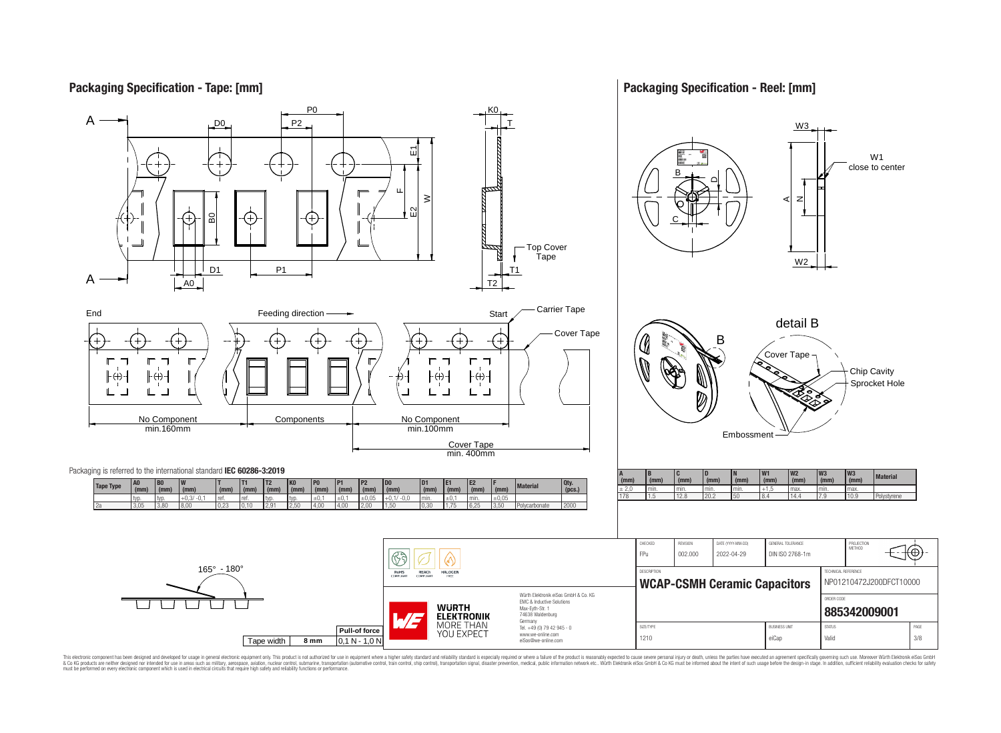# **Packaging Specification - Tape: [mm]**

**Packaging Specification - Reel: [mm]**



This electronic component has been designed and developed for usage in general electronic equipment only. This product is not authorized for use in equipment where a higher safely standard and reliability standard si espec & Ook product a label and the membed of the seasuch as marked and as which such a membed and the such assume that income in the seasuch and the simulation and the such assume that include to the such a membed and the such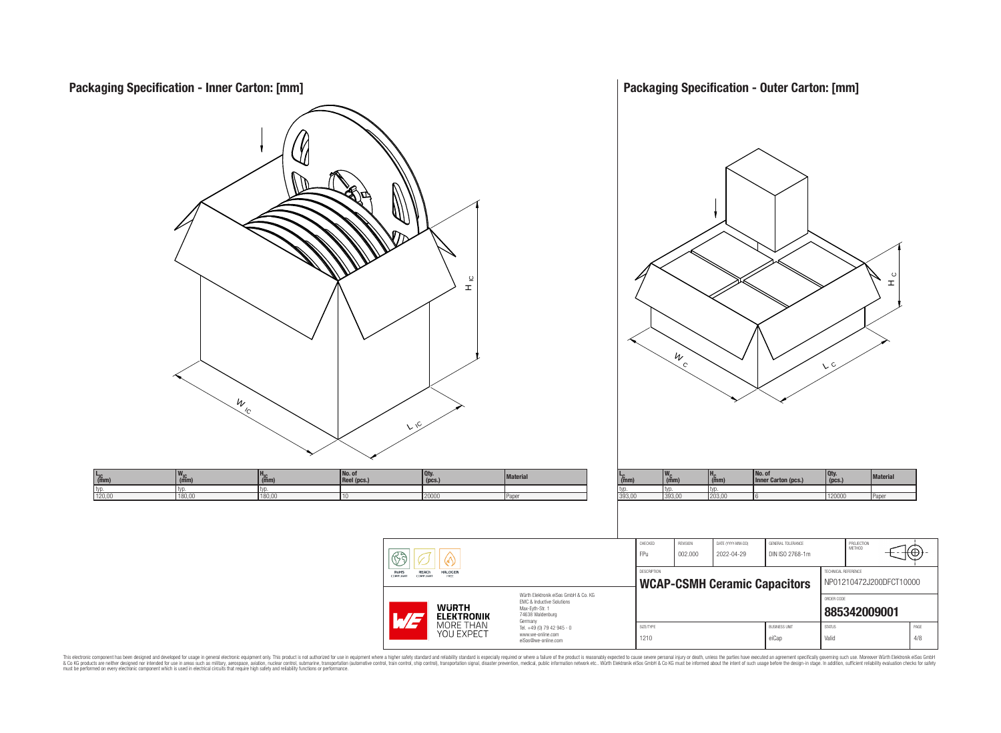

This electronic component has been designed and developed for usage in general electronic equipment only. This product is not authorized for subserved requipment where a higher selection equipment where a higher selection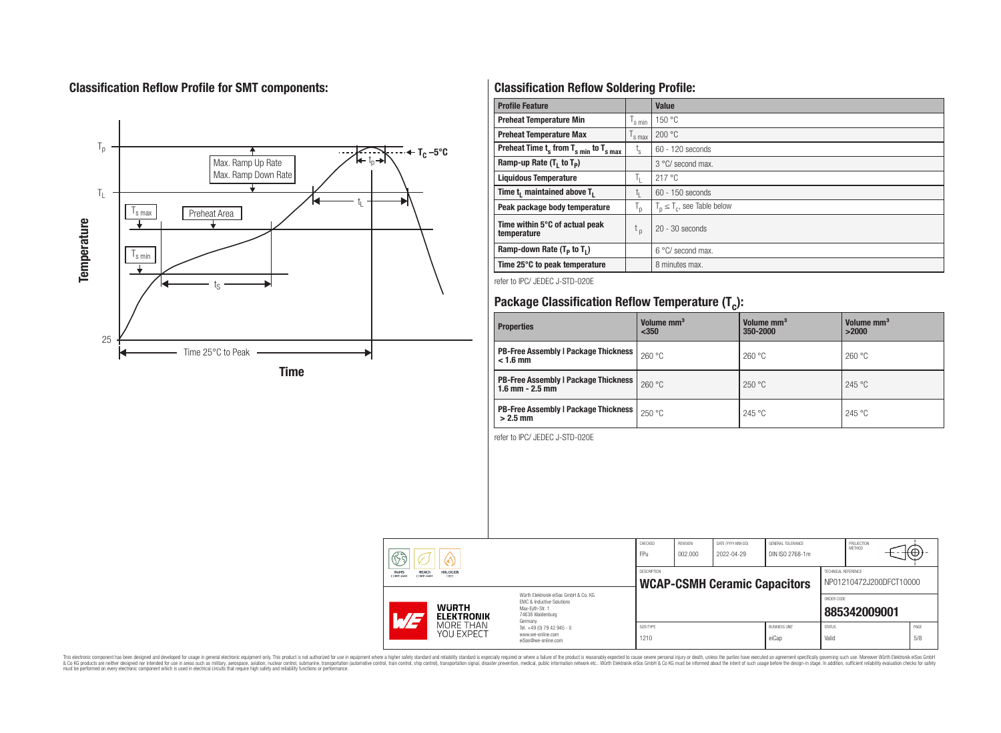# **Classification Reflow Profile for SMT components:**



# **Classification Reflow Soldering Profile:**

| <b>Profile Feature</b>                              |                           | <b>Value</b>                     |
|-----------------------------------------------------|---------------------------|----------------------------------|
| <b>Preheat Temperature Min</b>                      | 's min                    | 150 °C                           |
| <b>Preheat Temperature Max</b>                      | <sup>I</sup> s max        | 200 °C                           |
| Preheat Time $t_s$ from $T_{s,min}$ to $T_{s,max}$  | $t_{\rm s}$               | $60 - 120$ seconds               |
| Ramp-up Rate $(T_1$ to $T_p$ )                      |                           | 3 °C/ second max.                |
| <b>Liquidous Temperature</b>                        | ъ.                        | 217 °C                           |
| Time t <sub>i</sub> maintained above T <sub>1</sub> | t,                        | $60 - 150$ seconds               |
| Peak package body temperature                       | $\mathsf{I}_{\mathsf{D}}$ | $T_p \leq T_c$ , see Table below |
| Time within 5°C of actual peak<br>temperature       | $t_{p}$                   | $20 - 30$ seconds                |
| Ramp-down Rate $(T_p$ to $T_1$ )                    |                           | $6^{\circ}$ C/ second max.       |
| Time 25°C to peak temperature                       |                           | 8 minutes max.                   |

refer to IPC/ JEDEC J-STD-020E

# **Package Classification Reflow Temperature (T<sup>c</sup> ):**

| <b>Properties</b>                                                    | Volume mm <sup>3</sup><br>< 350 | Volume mm <sup>3</sup><br>350-2000 | Volume mm <sup>3</sup><br>>2000 |
|----------------------------------------------------------------------|---------------------------------|------------------------------------|---------------------------------|
| <b>PB-Free Assembly   Package Thickness</b><br>$< 1.6$ mm            | 260 °C                          | 260 °C                             | 260 °C                          |
| <b>PB-Free Assembly   Package Thickness  </b><br>$1.6$ mm $- 2.5$ mm | 260 °C                          | 250 °C                             | 245 °C                          |
| <b>PB-Free Assembly   Package Thickness  </b><br>$>2.5$ mm           | 250 °C                          | 245 °C                             | 245 °C                          |

refer to IPC/ JEDEC J-STD-020E

| REACh<br><b>HALOGEN</b><br><b>RoHS</b><br>COMPLIANT<br>COMPLIANT<br>FREE<br>Würth Elektronik eiSos GmbH & Co. KG<br>EMC & Inductive Solutions<br><b>WURTH</b><br>Max-Evth-Str. 1<br>74638 Waldenburg<br>$\overline{\phantom{a}}$<br><b>ELEKTRONIK</b> |         |           | <b>WCAP-CSMH Ceramic Capacitors</b> |                      | TECHNICAL REFERENCE<br>NP01210472J200DFCT10000<br>ORDER CODE<br>885342009001 |      |  |
|-------------------------------------------------------------------------------------------------------------------------------------------------------------------------------------------------------------------------------------------------------|---------|-----------|-------------------------------------|----------------------|------------------------------------------------------------------------------|------|--|
| MORE THAN                                                                                                                                                                                                                                             | Germany | SIZE/TYPE |                                     | <b>BUSINESS UNIT</b> | <b>STATUS</b>                                                                | PAGE |  |

This electronic component has been designed and developed for usage in general electronic equipment only. This product is not authorized for subserved requipment where a higher selection equipment where a higher selection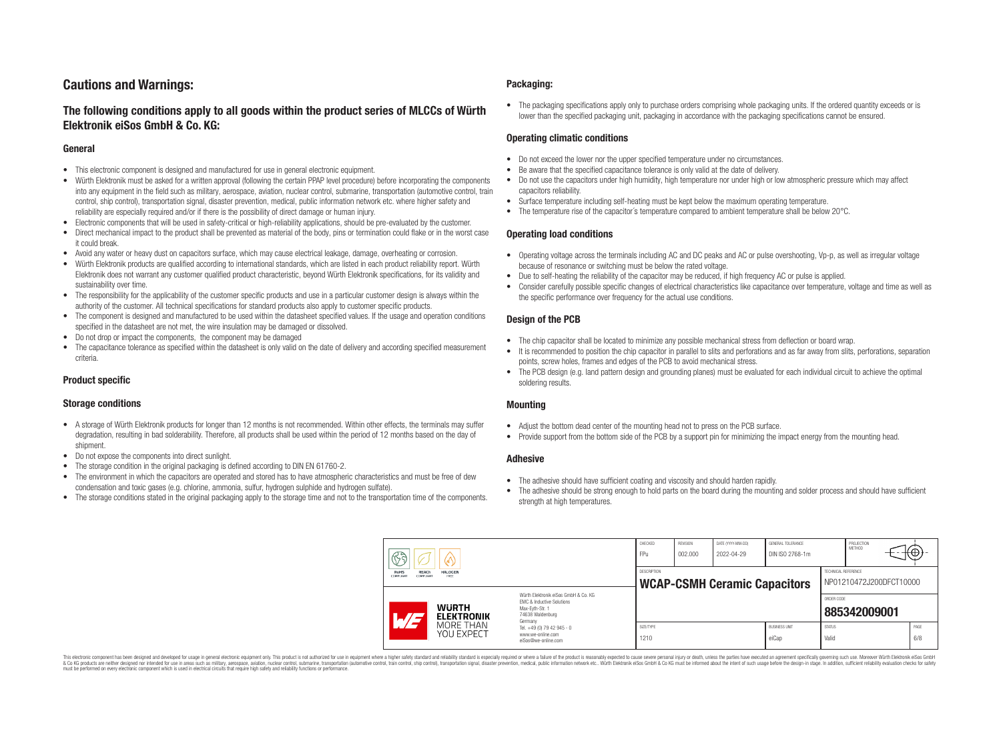# **Cautions and Warnings:**

# **The following conditions apply to all goods within the product series of MLCCs of Würth Elektronik eiSos GmbH & Co. KG:**

#### **General**

- This electronic component is designed and manufactured for use in general electronic equipment.
- Würth Elektronik must be asked for a written approval (following the certain PPAP level procedure) before incorporating the components into any equipment in the field such as military, aerospace, aviation, nuclear control, submarine, transportation (automotive control, train control, ship control), transportation signal, disaster prevention, medical, public information network etc. where higher safety and reliability are especially required and/or if there is the possibility of direct damage or human injury.
- Electronic components that will be used in safety-critical or high-reliability applications, should be pre-evaluated by the customer.
- Direct mechanical impact to the product shall be prevented as material of the body, pins or termination could flake or in the worst case it could break.
- Avoid any water or heavy dust on capacitors surface, which may cause electrical leakage, damage, overheating or corrosion.
- Würth Elektronik products are qualified according to international standards, which are listed in each product reliability report. Würth Elektronik does not warrant any customer qualified product characteristic, beyond Würth Elektronik specifications, for its validity and sustainability over time.
- The responsibility for the applicability of the customer specific products and use in a particular customer design is always within the authority of the customer. All technical specifications for standard products also apply to customer specific products.
- The component is designed and manufactured to be used within the datasheet specified values. If the usage and operation conditions specified in the datasheet are not met, the wire insulation may be damaged or dissolved.
- Do not drop or impact the components, the component may be damaged
- The capacitance tolerance as specified within the datasheet is only valid on the date of delivery and according specified measurement criteria.

#### **Product specific**

#### **Storage conditions**

- A storage of Würth Elektronik products for longer than 12 months is not recommended. Within other effects, the terminals may suffer degradation, resulting in bad solderability. Therefore, all products shall be used within the period of 12 months based on the day of shipment.
- Do not expose the components into direct sunlight.
- The storage condition in the original packaging is defined according to DIN EN 61760-2.
- The environment in which the capacitors are operated and stored has to have atmospheric characteristics and must be free of dew condensation and toxic gases (e.g. chlorine, ammonia, sulfur, hydrogen sulphide and hydrogen sulfate).
- The storage conditions stated in the original packaging apply to the storage time and not to the transportation time of the components.

#### **Packaging:**

• The packaging specifications apply only to purchase orders comprising whole packaging units. If the ordered quantity exceeds or is lower than the specified packaging unit, packaging in accordance with the packaging specifications cannot be ensured.

#### **Operating climatic conditions**

- Do not exceed the lower nor the upper specified temperature under no circumstances
- Be aware that the specified capacitance tolerance is only valid at the date of delivery.
- Do not use the capacitors under high humidity, high temperature nor under high or low atmospheric pressure which may affect capacitors reliability.
- Surface temperature including self-heating must be kept below the maximum operating temperature.
- The temperature rise of the capacitor's temperature compared to ambient temperature shall be below 20 °C.

#### **Operating load conditions**

- Operating voltage across the terminals including AC and DC peaks and AC or pulse overshooting, Vp-p, as well as irregular voltage because of resonance or switching must be below the rated voltage.
- Due to self-heating the reliability of the capacitor may be reduced, if high frequency AC or pulse is applied.
- Consider carefully possible specific changes of electrical characteristics like capacitance over temperature, voltage and time as well as the specific performance over frequency for the actual use conditions.

#### **Design of the PCB**

- The chip capacitor shall be located to minimize any possible mechanical stress from deflection or board wrap.
- It is recommended to position the chip capacitor in parallel to slits and perforations and as far away from slits, perforations, separation points, screw holes, frames and edges of the PCB to avoid mechanical stress.
- The PCB design (e.g. land pattern design and grounding planes) must be evaluated for each individual circuit to achieve the optimal soldering results.

#### **Mounting**

- Adjust the bottom dead center of the mounting head not to press on the PCB surface.
- Provide support from the bottom side of the PCB by a support pin for minimizing the impact energy from the mounting head.

#### **Adhesive**

- The adhesive should have sufficient coating and viscosity and should harden rapidly.
- The adhesive should be strong enough to hold parts on the board during the mounting and solder process and should have sufficient strength at high temperatures.

| F                                                                                                                                                                                                                                         |                                                                        | CHECKED<br>FPu                                            | <b>REVISION</b><br>002.000 | DATE (YYYY-MM-DD)<br>2022-04-29 | GENERAL TOLERANCE<br>DIN ISO 2768-1m |                        | PROJECTION<br><b>METHOD</b>                    | ъ.          |
|-------------------------------------------------------------------------------------------------------------------------------------------------------------------------------------------------------------------------------------------|------------------------------------------------------------------------|-----------------------------------------------------------|----------------------------|---------------------------------|--------------------------------------|------------------------|------------------------------------------------|-------------|
| RoHS<br>REACh<br><b>HALOGEN</b><br>COMPLIANT<br>FREE<br><b>COMPLIANT</b><br>Würth Flektronik eiSos GmbH & Co. KG<br>EMC & Inductive Solutions<br><b>WURTH</b><br>Max-Evth-Str. 1<br>74638 Waldenburg<br><b>ELEKTRONIK</b><br>H<br>Germany |                                                                        | <b>DESCRIPTION</b><br><b>WCAP-CSMH Ceramic Capacitors</b> |                            |                                 |                                      |                        | TECHNICAL REFERENCE<br>NP01210472J200DFCT10000 |             |
|                                                                                                                                                                                                                                           |                                                                        |                                                           |                            |                                 |                                      | ORDER CODE             | 885342009001                                   |             |
| MORE THAN<br>YOU EXPECT                                                                                                                                                                                                                   | Tel. +49 (0) 79 42 945 - 0<br>www.we-online.com<br>eiSos@we-online.com | SIZE/TYPE<br>1210                                         |                            |                                 | <b>BUSINESS UNIT</b><br>eiCap        | <b>STATUS</b><br>Valid |                                                | PAGE<br>6/8 |

This electronic component has been designed and developed for usage in general electronic equipment only. This product is not authorized for use in equipment where a higher safety standard and reliability standard is espec & Ook product a label and the membed of the seasuch as marked and as which such a membed and the such assume that income in the seasuch and the simulation and the such assume that include to the such a membed and the such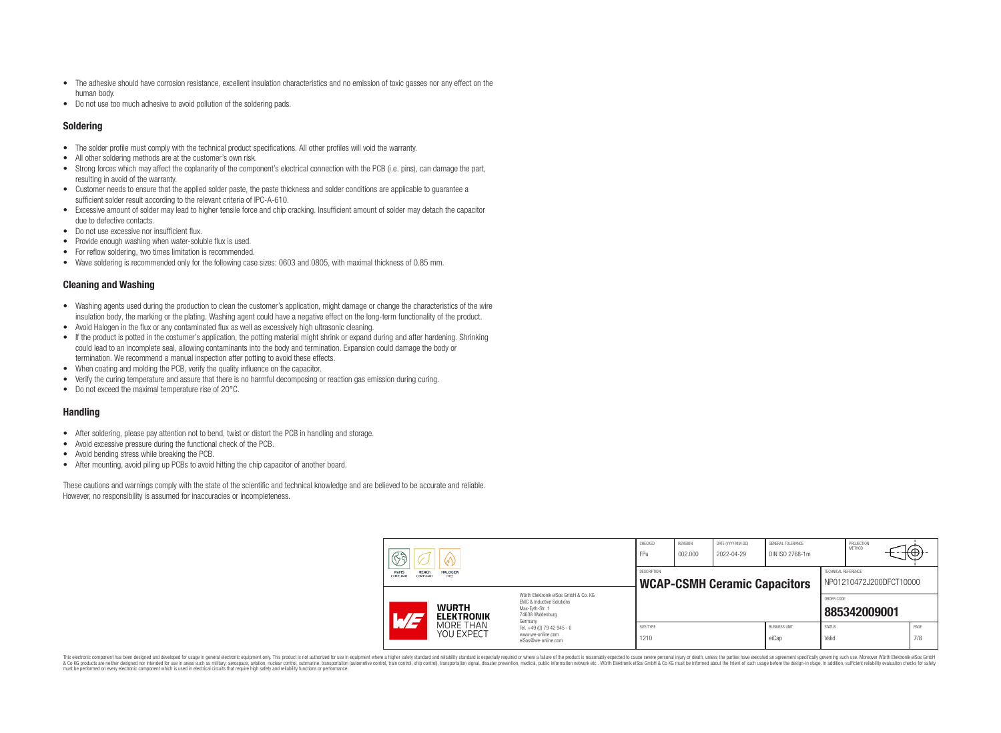- The adhesive should have corrosion resistance, excellent insulation characteristics and no emission of toxic gasses nor any effect on the human body.
- Do not use too much adhesive to avoid pollution of the soldering pads.

#### **Soldering**

- The solder profile must comply with the technical product specifications. All other profiles will void the warranty.
- All other soldering methods are at the customer's own risk.
- Strong forces which may affect the coplanarity of the component's electrical connection with the PCB (i.e. pins), can damage the part, resulting in avoid of the warranty.
- Customer needs to ensure that the applied solder paste, the paste thickness and solder conditions are applicable to guarantee a sufficient solder result according to the relevant criteria of IPC-A-610.
- Excessive amount of solder may lead to higher tensile force and chip cracking. Insufficient amount of solder may detach the capacitor due to defective contacts.
- Do not use excessive nor insufficient flux
- Provide enough washing when water-soluble flux is used.
- For reflow soldering, two times limitation is recommended.
- Wave soldering is recommended only for the following case sizes: 0603 and 0805, with maximal thickness of 0.85 mm.

#### **Cleaning and Washing**

- Washing agents used during the production to clean the customer's application, might damage or change the characteristics of the wire insulation body, the marking or the plating. Washing agent could have a negative effect on the long-term functionality of the product.
- Avoid Halogen in the flux or any contaminated flux as well as excessively high ultrasonic cleaning.
- If the product is potted in the costumer's application, the potting material might shrink or expand during and after hardening. Shrinking could lead to an incomplete seal, allowing contaminants into the body and termination. Expansion could damage the body or termination. We recommend a manual inspection after potting to avoid these effects.
- When coating and molding the PCB, verify the quality influence on the capacitor.
- Verify the curing temperature and assure that there is no harmful decomposing or reaction gas emission during curing.
- Do not exceed the maximal temperature rise of 20°C.

#### **Handling**

- After soldering, please pay attention not to bend, twist or distort the PCB in handling and storage.
- Avoid excessive pressure during the functional check of the PCB.
- Avoid bending stress while breaking the PCB.
- After mounting, avoid piling up PCBs to avoid hitting the chip capacitor of another board.

These cautions and warnings comply with the state of the scientific and technical knowledge and are believed to be accurate and reliable. However, no responsibility is assumed for inaccuracies or incompleteness.

| B                                                                 |                                                                                        | CHECKED<br>FP <sub>U</sub>                                | REVISION<br>002.000 | DATE (YYYY-MM-DD)<br>2022-04-29 | GENERAL TOLERANCE<br>DIN ISO 2768-1m |            | PROJECTION<br>METHOD                           | π⊕+ |  |
|-------------------------------------------------------------------|----------------------------------------------------------------------------------------|-----------------------------------------------------------|---------------------|---------------------------------|--------------------------------------|------------|------------------------------------------------|-----|--|
| RoHS<br>REACh<br><b>HALOGEN</b><br>COMPLIANT<br>FREE<br>COMPLIANT |                                                                                        | <b>DESCRIPTION</b><br><b>WCAP-CSMH Ceramic Capacitors</b> |                     |                                 |                                      |            | TECHNICAL REFERENCE<br>NP01210472J200DFCT10000 |     |  |
|                                                                   | Würth Flektronik eiSos GmbH & Co. KG                                                   |                                                           |                     |                                 |                                      |            |                                                |     |  |
| <b>WURTH</b><br><b>ELEKTRONIK</b><br>ATI<br>MORE THAN             | <b>FMC &amp; Inductive Solutions</b><br>Max-Evth-Str. 1<br>74638 Waldenburg<br>Germany |                                                           |                     |                                 |                                      | ORDER CODE | 885342009001                                   |     |  |

This electronic component has been designed and developed for usage in general electronic equipment only. This product is not authorized for use in equipment where a higher safety standard and reliability standard is espec & Ook product a label and the membed of the seasuch as marked and as which such a membed and the such assume that income in the seasuch and the simulation and the such assume that include to the such a membed and the such